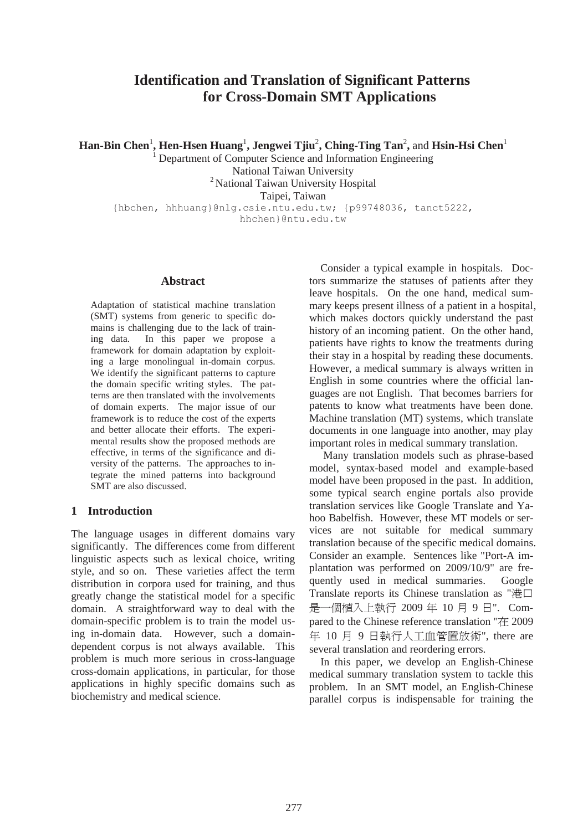# **Identification and Translation of Significant Patterns for Cross-Domain SMT Applications**

 $\boldsymbol{\mathrm{Han\text{-}Bin~Chen}}^1$ ,  $\boldsymbol{\mathrm{Hen\text{-}Hsen~Huang}}^1$ ,  $\boldsymbol{\mathrm{Jengwei~Tjuu}}^2$ ,  $\boldsymbol{\mathrm{Ching\text{-}Ting~Tan}^2},$  and  $\boldsymbol{\mathrm{Hsin\text{-}Hsi~Chen}}^1$ 

 Department of Computer Science and Information Engineering National Taiwan University <sup>2</sup> National Taiwan University Hospital Taipei, Taiwan {hbchen, hhhuang}@nlg.csie.ntu.edu.tw; {p99748036, tanct5222,

hhchen}@ntu.edu.tw

## **Abstract**

1

Adaptation of statistical machine translation (SMT) systems from generic to specific domains is challenging due to the lack of training data. In this paper we propose a framework for domain adaptation by exploiting a large monolingual in-domain corpus. We identify the significant patterns to capture the domain specific writing styles. The patterns are then translated with the involvements of domain experts. The major issue of our framework is to reduce the cost of the experts and better allocate their efforts. The experimental results show the proposed methods are effective, in terms of the significance and diversity of the patterns. The approaches to integrate the mined patterns into background SMT are also discussed.

## **1 Introduction**

The language usages in different domains vary significantly. The differences come from different linguistic aspects such as lexical choice, writing style, and so on. These varieties affect the term distribution in corpora used for training, and thus greatly change the statistical model for a specific domain. A straightforward way to deal with the domain-specific problem is to train the model using in-domain data. However, such a domaindependent corpus is not always available. This problem is much more serious in cross-language cross-domain applications, in particular, for those applications in highly specific domains such as biochemistry and medical science.

Consider a typical example in hospitals. Doctors summarize the statuses of patients after they leave hospitals. On the one hand, medical summary keeps present illness of a patient in a hospital, which makes doctors quickly understand the past history of an incoming patient. On the other hand, patients have rights to know the treatments during their stay in a hospital by reading these documents. However, a medical summary is always written in English in some countries where the official languages are not English. That becomes barriers for patents to know what treatments have been done. Machine translation (MT) systems, which translate documents in one language into another, may play important roles in medical summary translation.

 Many translation models such as phrase-based model, syntax-based model and example-based model have been proposed in the past. In addition, some typical search engine portals also provide translation services like Google Translate and Yahoo Babelfish. However, these MT models or services are not suitable for medical summary translation because of the specific medical domains. Consider an example. Sentences like "Port-A implantation was performed on 2009/10/9" are frequently used in medical summaries. Google Translate reports its Chinese translation as " $\# \Box$ 是一個植入上執行 2009 年 10 月 9 日". Compared to the Chinese reference translation "在 2009  $# 10$  月  $9$   $H \oplus H \wedge T$  m管置放術", there are several translation and reordering errors.

In this paper, we develop an English-Chinese medical summary translation system to tackle this problem. In an SMT model, an English-Chinese parallel corpus is indispensable for training the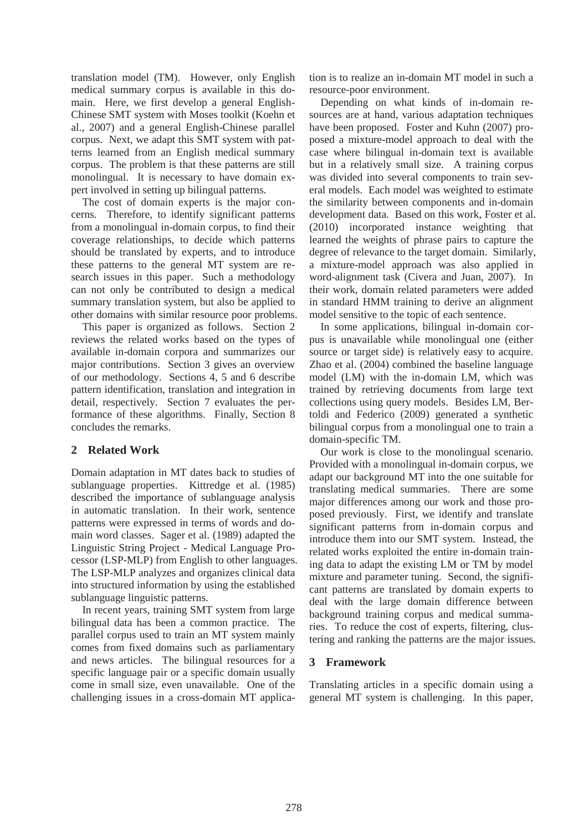translation model (TM). However, only English medical summary corpus is available in this domain. Here, we first develop a general English-Chinese SMT system with Moses toolkit (Koehn et al., 2007) and a general English-Chinese parallel corpus. Next, we adapt this SMT system with patterns learned from an English medical summary corpus. The problem is that these patterns are still monolingual. It is necessary to have domain expert involved in setting up bilingual patterns.

The cost of domain experts is the major concerns. Therefore, to identify significant patterns from a monolingual in-domain corpus, to find their coverage relationships, to decide which patterns should be translated by experts, and to introduce these patterns to the general MT system are research issues in this paper. Such a methodology can not only be contributed to design a medical summary translation system, but also be applied to other domains with similar resource poor problems.

This paper is organized as follows. Section 2 reviews the related works based on the types of available in-domain corpora and summarizes our major contributions. Section 3 gives an overview of our methodology. Sections 4, 5 and 6 describe pattern identification, translation and integration in detail, respectively. Section 7 evaluates the performance of these algorithms. Finally, Section 8 concludes the remarks.

## **2 Related Work**

Domain adaptation in MT dates back to studies of sublanguage properties. Kittredge et al. (1985) described the importance of sublanguage analysis in automatic translation. In their work, sentence patterns were expressed in terms of words and domain word classes. Sager et al. (1989) adapted the Linguistic String Project - Medical Language Processor (LSP-MLP) from English to other languages. The LSP-MLP analyzes and organizes clinical data into structured information by using the established sublanguage linguistic patterns.

In recent years, training SMT system from large bilingual data has been a common practice. The parallel corpus used to train an MT system mainly comes from fixed domains such as parliamentary and news articles. The bilingual resources for a specific language pair or a specific domain usually come in small size, even unavailable. One of the challenging issues in a cross-domain MT applica-

tion is to realize an in-domain MT model in such a resource-poor environment.

Depending on what kinds of in-domain resources are at hand, various adaptation techniques have been proposed. Foster and Kuhn (2007) proposed a mixture-model approach to deal with the case where bilingual in-domain text is available but in a relatively small size. A training corpus was divided into several components to train several models. Each model was weighted to estimate the similarity between components and in-domain development data. Based on this work, Foster et al. (2010) incorporated instance weighting that learned the weights of phrase pairs to capture the degree of relevance to the target domain. Similarly, a mixture-model approach was also applied in word-alignment task (Civera and Juan, 2007). In their work, domain related parameters were added in standard HMM training to derive an alignment model sensitive to the topic of each sentence.

In some applications, bilingual in-domain corpus is unavailable while monolingual one (either source or target side) is relatively easy to acquire. Zhao et al. (2004) combined the baseline language model (LM) with the in-domain LM, which was trained by retrieving documents from large text collections using query models. Besides LM, Bertoldi and Federico (2009) generated a synthetic bilingual corpus from a monolingual one to train a domain-specific TM.

Our work is close to the monolingual scenario. Provided with a monolingual in-domain corpus, we adapt our background MT into the one suitable for translating medical summaries. There are some major differences among our work and those proposed previously. First, we identify and translate significant patterns from in-domain corpus and introduce them into our SMT system. Instead, the related works exploited the entire in-domain training data to adapt the existing LM or TM by model mixture and parameter tuning. Second, the significant patterns are translated by domain experts to deal with the large domain difference between background training corpus and medical summaries. To reduce the cost of experts, filtering, clustering and ranking the patterns are the major issues.

## **3 Framework**

Translating articles in a specific domain using a general MT system is challenging. In this paper,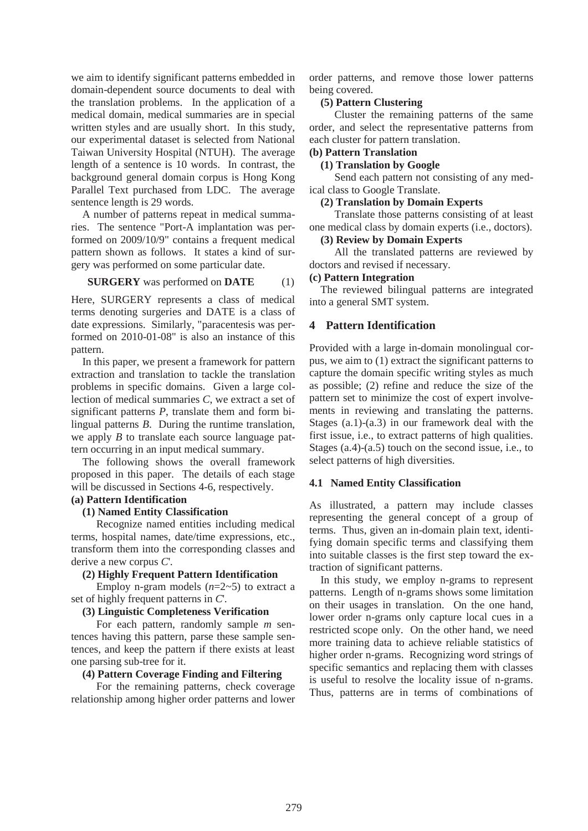we aim to identify significant patterns embedded in domain-dependent source documents to deal with the translation problems. In the application of a medical domain, medical summaries are in special written styles and are usually short. In this study, our experimental dataset is selected from National Taiwan University Hospital (NTUH). The average length of a sentence is 10 words. In contrast, the background general domain corpus is Hong Kong Parallel Text purchased from LDC. The average sentence length is 29 words.

A number of patterns repeat in medical summaries. The sentence "Port-A implantation was performed on 2009/10/9" contains a frequent medical pattern shown as follows. It states a kind of surgery was performed on some particular date.

#### **SURGERY** was performed on **DATE** (1)

Here, SURGERY represents a class of medical terms denoting surgeries and DATE is a class of date expressions. Similarly, "paracentesis was performed on 2010-01-08" is also an instance of this pattern.

In this paper, we present a framework for pattern extraction and translation to tackle the translation problems in specific domains. Given a large collection of medical summaries *C*, we extract a set of significant patterns *P*, translate them and form bilingual patterns *B*. During the runtime translation, we apply *B* to translate each source language pattern occurring in an input medical summary.

The following shows the overall framework proposed in this paper. The details of each stage will be discussed in Sections 4-6, respectively.

# **(a) Pattern Identification**

## **(1) Named Entity Classification**

Recognize named entities including medical terms, hospital names, date/time expressions, etc., transform them into the corresponding classes and derive a new corpus *C*'.

#### **(2) Highly Frequent Pattern Identification**

Employ n-gram models (*n*=2~5) to extract a set of highly frequent patterns in *C*'.

#### **(3) Linguistic Completeness Verification**

For each pattern, randomly sample *m* sentences having this pattern, parse these sample sentences, and keep the pattern if there exists at least one parsing sub-tree for it.

## **(4) Pattern Coverage Finding and Filtering**

For the remaining patterns, check coverage relationship among higher order patterns and lower

order patterns, and remove those lower patterns being covered.

## **(5) Pattern Clustering**

Cluster the remaining patterns of the same order, and select the representative patterns from each cluster for pattern translation.

# **(b) Pattern Translation**

**(1) Translation by Google** 

Send each pattern not consisting of any medical class to Google Translate.

#### **(2) Translation by Domain Experts**

Translate those patterns consisting of at least one medical class by domain experts (i.e., doctors).

## **(3) Review by Domain Experts**

All the translated patterns are reviewed by doctors and revised if necessary.

#### **(c) Pattern Integration**

The reviewed bilingual patterns are integrated into a general SMT system.

#### **4 Pattern Identification**

Provided with a large in-domain monolingual corpus, we aim to (1) extract the significant patterns to capture the domain specific writing styles as much as possible; (2) refine and reduce the size of the pattern set to minimize the cost of expert involvements in reviewing and translating the patterns. Stages (a.1)-(a.3) in our framework deal with the first issue, i.e., to extract patterns of high qualities. Stages (a.4)-(a.5) touch on the second issue, i.e., to select patterns of high diversities.

#### **4.1 Named Entity Classification**

As illustrated, a pattern may include classes representing the general concept of a group of terms. Thus, given an in-domain plain text, identifying domain specific terms and classifying them into suitable classes is the first step toward the extraction of significant patterns.

In this study, we employ n-grams to represent patterns. Length of n-grams shows some limitation on their usages in translation. On the one hand, lower order n-grams only capture local cues in a restricted scope only. On the other hand, we need more training data to achieve reliable statistics of higher order n-grams. Recognizing word strings of specific semantics and replacing them with classes is useful to resolve the locality issue of n-grams. Thus, patterns are in terms of combinations of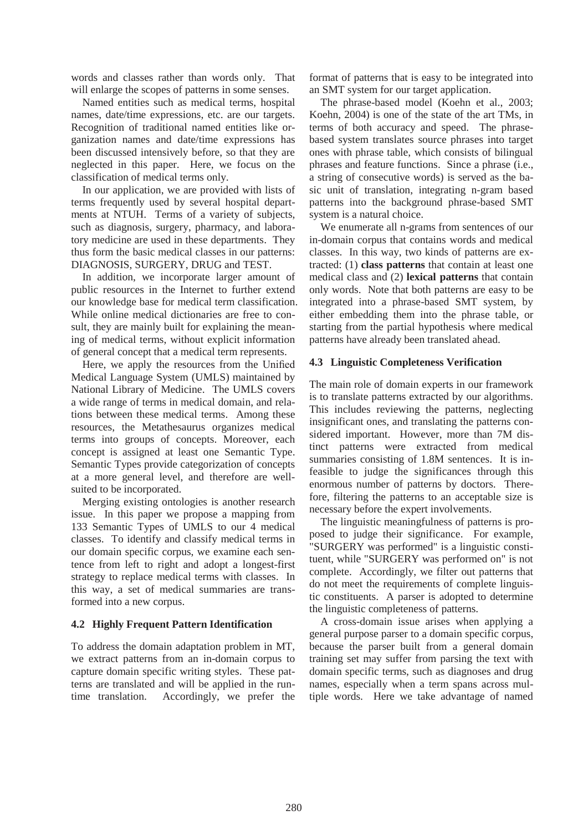words and classes rather than words only. That will enlarge the scopes of patterns in some senses.

Named entities such as medical terms, hospital names, date/time expressions, etc. are our targets. Recognition of traditional named entities like organization names and date/time expressions has been discussed intensively before, so that they are neglected in this paper. Here, we focus on the classification of medical terms only.

In our application, we are provided with lists of terms frequently used by several hospital departments at NTUH. Terms of a variety of subjects, such as diagnosis, surgery, pharmacy, and laboratory medicine are used in these departments. They thus form the basic medical classes in our patterns: DIAGNOSIS, SURGERY, DRUG and TEST.

In addition, we incorporate larger amount of public resources in the Internet to further extend our knowledge base for medical term classification. While online medical dictionaries are free to consult, they are mainly built for explaining the meaning of medical terms, without explicit information of general concept that a medical term represents.

Here, we apply the resources from the Unified Medical Language System (UMLS) maintained by National Library of Medicine. The UMLS covers a wide range of terms in medical domain, and relations between these medical terms. Among these resources, the Metathesaurus organizes medical terms into groups of concepts. Moreover, each concept is assigned at least one Semantic Type. Semantic Types provide categorization of concepts at a more general level, and therefore are wellsuited to be incorporated.

Merging existing ontologies is another research issue. In this paper we propose a mapping from 133 Semantic Types of UMLS to our 4 medical classes. To identify and classify medical terms in our domain specific corpus, we examine each sentence from left to right and adopt a longest-first strategy to replace medical terms with classes. In this way, a set of medical summaries are transformed into a new corpus.

## **4.2 Highly Frequent Pattern Identification**

To address the domain adaptation problem in MT, we extract patterns from an in-domain corpus to capture domain specific writing styles. These patterns are translated and will be applied in the runtime translation. Accordingly, we prefer the format of patterns that is easy to be integrated into an SMT system for our target application.

The phrase-based model (Koehn et al., 2003; Koehn, 2004) is one of the state of the art TMs, in terms of both accuracy and speed. The phrasebased system translates source phrases into target ones with phrase table, which consists of bilingual phrases and feature functions. Since a phrase (i.e., a string of consecutive words) is served as the basic unit of translation, integrating n-gram based patterns into the background phrase-based SMT system is a natural choice.

We enumerate all n-grams from sentences of our in-domain corpus that contains words and medical classes. In this way, two kinds of patterns are extracted: (1) **class patterns** that contain at least one medical class and (2) **lexical patterns** that contain only words. Note that both patterns are easy to be integrated into a phrase-based SMT system, by either embedding them into the phrase table, or starting from the partial hypothesis where medical patterns have already been translated ahead.

## **4.3 Linguistic Completeness Verification**

The main role of domain experts in our framework is to translate patterns extracted by our algorithms. This includes reviewing the patterns, neglecting insignificant ones, and translating the patterns considered important. However, more than 7M distinct patterns were extracted from medical summaries consisting of 1.8M sentences. It is infeasible to judge the significances through this enormous number of patterns by doctors. Therefore, filtering the patterns to an acceptable size is necessary before the expert involvements.

The linguistic meaningfulness of patterns is proposed to judge their significance. For example, "SURGERY was performed" is a linguistic constituent, while "SURGERY was performed on" is not complete. Accordingly, we filter out patterns that do not meet the requirements of complete linguistic constituents. A parser is adopted to determine the linguistic completeness of patterns.

A cross-domain issue arises when applying a general purpose parser to a domain specific corpus, because the parser built from a general domain training set may suffer from parsing the text with domain specific terms, such as diagnoses and drug names, especially when a term spans across multiple words. Here we take advantage of named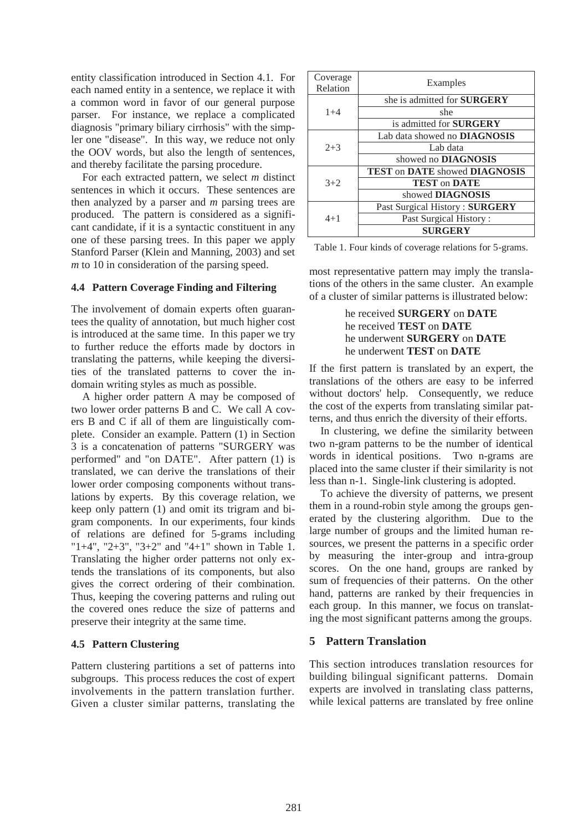entity classification introduced in Section 4.1. For each named entity in a sentence, we replace it with a common word in favor of our general purpose parser. For instance, we replace a complicated diagnosis "primary biliary cirrhosis" with the simpler one "disease". In this way, we reduce not only the OOV words, but also the length of sentences, and thereby facilitate the parsing procedure.

For each extracted pattern, we select *m* distinct sentences in which it occurs. These sentences are then analyzed by a parser and *m* parsing trees are produced. The pattern is considered as a significant candidate, if it is a syntactic constituent in any one of these parsing trees. In this paper we apply Stanford Parser (Klein and Manning, 2003) and set *m* to 10 in consideration of the parsing speed.

#### **4.4 Pattern Coverage Finding and Filtering**

The involvement of domain experts often guarantees the quality of annotation, but much higher cost is introduced at the same time. In this paper we try to further reduce the efforts made by doctors in translating the patterns, while keeping the diversities of the translated patterns to cover the indomain writing styles as much as possible.

A higher order pattern A may be composed of two lower order patterns B and C. We call A covers B and C if all of them are linguistically complete. Consider an example. Pattern (1) in Section 3 is a concatenation of patterns "SURGERY was performed" and "on DATE". After pattern (1) is translated, we can derive the translations of their lower order composing components without translations by experts. By this coverage relation, we keep only pattern (1) and omit its trigram and bigram components. In our experiments, four kinds of relations are defined for 5-grams including "1+4", "2+3", "3+2" and "4+1" shown in Table 1. Translating the higher order patterns not only extends the translations of its components, but also gives the correct ordering of their combination. Thus, keeping the covering patterns and ruling out the covered ones reduce the size of patterns and preserve their integrity at the same time.

## **4.5 Pattern Clustering**

Pattern clustering partitions a set of patterns into subgroups. This process reduces the cost of expert involvements in the pattern translation further. Given a cluster similar patterns, translating the

| Coverage<br>Relation | Examples                             |  |
|----------------------|--------------------------------------|--|
|                      | she is admitted for SURGERY          |  |
| $1 + 4$              | she                                  |  |
|                      | is admitted for <b>SURGERY</b>       |  |
|                      | Lab data showed no <b>DIAGNOSIS</b>  |  |
| $2 + 3$              | Lab data                             |  |
|                      | showed no <b>DIAGNOSIS</b>           |  |
|                      | <b>TEST on DATE showed DIAGNOSIS</b> |  |
| $3+2$                | <b>TEST on DATE</b>                  |  |
|                      | showed DIAGNOSIS                     |  |
|                      | Past Surgical History: SURGERY       |  |
| $4 + 1$              | Past Surgical History:               |  |
|                      | <b>SURGERY</b>                       |  |

Table 1. Four kinds of coverage relations for 5-grams.

most representative pattern may imply the translations of the others in the same cluster. An example of a cluster of similar patterns is illustrated below:

## he received **SURGERY** on **DATE** he received **TEST** on **DATE** he underwent **SURGERY** on **DATE** he underwent **TEST** on **DATE**

If the first pattern is translated by an expert, the translations of the others are easy to be inferred without doctors' help. Consequently, we reduce the cost of the experts from translating similar patterns, and thus enrich the diversity of their efforts.

In clustering, we define the similarity between two n-gram patterns to be the number of identical words in identical positions. Two n-grams are placed into the same cluster if their similarity is not less than n-1. Single-link clustering is adopted.

To achieve the diversity of patterns, we present them in a round-robin style among the groups generated by the clustering algorithm. Due to the large number of groups and the limited human resources, we present the patterns in a specific order by measuring the inter-group and intra-group scores. On the one hand, groups are ranked by sum of frequencies of their patterns. On the other hand, patterns are ranked by their frequencies in each group. In this manner, we focus on translating the most significant patterns among the groups.

## **5 Pattern Translation**

This section introduces translation resources for building bilingual significant patterns. Domain experts are involved in translating class patterns, while lexical patterns are translated by free online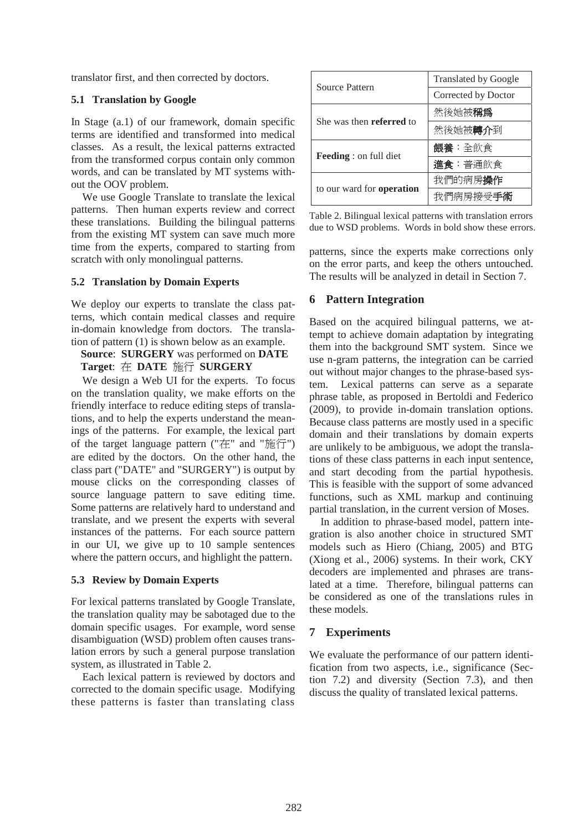translator first, and then corrected by doctors.

#### **5.1 Translation by Google**

In Stage (a.1) of our framework, domain specific terms are identified and transformed into medical classes. As a result, the lexical patterns extracted from the transformed corpus contain only common words, and can be translated by MT systems without the OOV problem.

We use Google Translate to translate the lexical patterns. Then human experts review and correct these translations. Building the bilingual patterns from the existing MT system can save much more time from the experts, compared to starting from scratch with only monolingual patterns.

#### **5.2 Translation by Domain Experts**

We deploy our experts to translate the class patterns, which contain medical classes and require in-domain knowledge from doctors. The translation of pattern (1) is shown below as an example.

# **Source**: **SURGERY** was performed on **DATE Target: 在 DATE 施行 SURGERY**

We design a Web UI for the experts. To focus on the translation quality, we make efforts on the friendly interface to reduce editing steps of translations, and to help the experts understand the meanings of the patterns. For example, the lexical part of the target language pattern ("在" and "施行") are edited by the doctors. On the other hand, the class part ("DATE" and "SURGERY") is output by mouse clicks on the corresponding classes of source language pattern to save editing time. Some patterns are relatively hard to understand and translate, and we present the experts with several instances of the patterns. For each source pattern in our UI, we give up to 10 sample sentences where the pattern occurs, and highlight the pattern.

## **5.3 Review by Domain Experts**

For lexical patterns translated by Google Translate, the translation quality may be sabotaged due to the domain specific usages. For example, word sense disambiguation (WSD) problem often causes translation errors by such a general purpose translation system, as illustrated in Table 2.

Each lexical pattern is reviewed by doctors and corrected to the domain specific usage. Modifying these patterns is faster than translating class

| <b>Source Pattern</b>            | <b>Translated by Google</b> |  |
|----------------------------------|-----------------------------|--|
|                                  | Corrected by Doctor         |  |
| She was then <b>referred</b> to  | 然後她被稱爲                      |  |
|                                  | 然後她被 <b>轉介</b> 到            |  |
|                                  | 餵養:全飲食                      |  |
| <b>Feeding</b> : on full diet    | 進食:普通飲食                     |  |
|                                  | 我們的病房操作                     |  |
| to our ward for <b>operation</b> | 我們病房接受手術                    |  |

Table 2. Bilingual lexical patterns with translation errors due to WSD problems. Words in bold show these errors.

patterns, since the experts make corrections only on the error parts, and keep the others untouched. The results will be analyzed in detail in Section 7.

## **6 Pattern Integration**

Based on the acquired bilingual patterns, we attempt to achieve domain adaptation by integrating them into the background SMT system. Since we use n-gram patterns, the integration can be carried out without major changes to the phrase-based system. Lexical patterns can serve as a separate phrase table, as proposed in Bertoldi and Federico (2009), to provide in-domain translation options. Because class patterns are mostly used in a specific domain and their translations by domain experts are unlikely to be ambiguous, we adopt the translations of these class patterns in each input sentence, and start decoding from the partial hypothesis. This is feasible with the support of some advanced functions, such as XML markup and continuing partial translation, in the current version of Moses.

In addition to phrase-based model, pattern integration is also another choice in structured SMT models such as Hiero (Chiang, 2005) and BTG (Xiong et al., 2006) systems. In their work, CKY decoders are implemented and phrases are translated at a time. Therefore, bilingual patterns can be considered as one of the translations rules in these models.

#### **7 Experiments**

We evaluate the performance of our pattern identification from two aspects, i.e., significance (Section 7.2) and diversity (Section 7.3), and then discuss the quality of translated lexical patterns.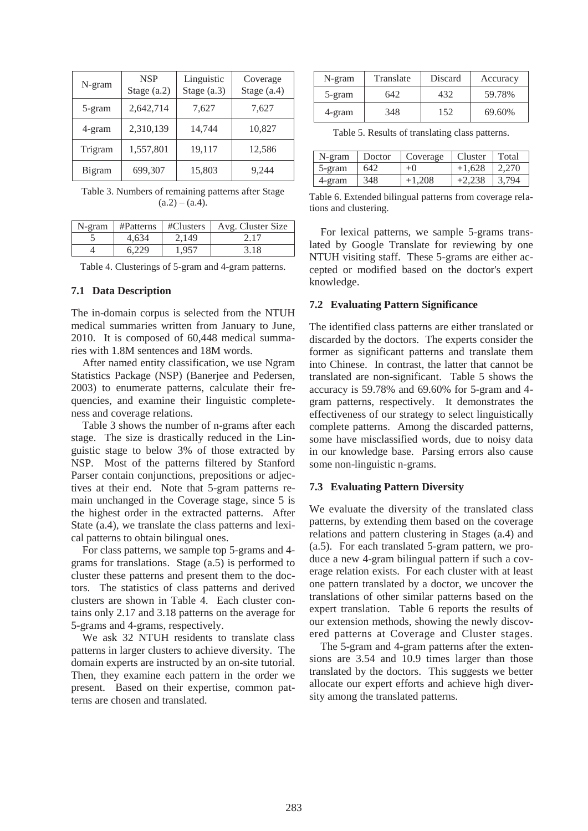| N-gram  | <b>NSP</b><br>Stage $(a.2)$ | Linguistic<br>Stage $(a.3)$ | Coverage<br>Stage $(a.4)$ |
|---------|-----------------------------|-----------------------------|---------------------------|
| 5-gram  | 2,642,714                   | 7,627                       | 7,627                     |
| 4-gram  | 2,310,139                   | 14,744                      | 10,827                    |
| Trigram | 1,557,801                   | 19,117                      | 12,586                    |
| Bigram  | 699,307                     | 15,803                      | 9,244                     |

Table 3. Numbers of remaining patterns after Stage  $(a.2) - (a.4)$ .

| N-gram |       |       | #Patterns   #Clusters   Avg. Cluster Size |
|--------|-------|-------|-------------------------------------------|
|        | 4.634 | 2.149 | 2.17                                      |
|        | 6.229 | 1.957 | 3.18                                      |

Table 4. Clusterings of 5-gram and 4-gram patterns.

#### **7.1 Data Description**

The in-domain corpus is selected from the NTUH medical summaries written from January to June, 2010. It is composed of 60,448 medical summaries with 1.8M sentences and 18M words.

After named entity classification, we use Ngram Statistics Package (NSP) (Banerjee and Pedersen, 2003) to enumerate patterns, calculate their frequencies, and examine their linguistic completeness and coverage relations.

Table 3 shows the number of n-grams after each stage. The size is drastically reduced in the Linguistic stage to below 3% of those extracted by NSP. Most of the patterns filtered by Stanford Parser contain conjunctions, prepositions or adjectives at their end. Note that 5-gram patterns remain unchanged in the Coverage stage, since 5 is the highest order in the extracted patterns. After State (a.4), we translate the class patterns and lexical patterns to obtain bilingual ones.

For class patterns, we sample top 5-grams and 4 grams for translations. Stage (a.5) is performed to cluster these patterns and present them to the doctors. The statistics of class patterns and derived clusters are shown in Table 4. Each cluster contains only 2.17 and 3.18 patterns on the average for 5-grams and 4-grams, respectively.

We ask 32 NTUH residents to translate class patterns in larger clusters to achieve diversity. The domain experts are instructed by an on-site tutorial. Then, they examine each pattern in the order we present. Based on their expertise, common patterns are chosen and translated.

| N-gram | Translate | Discard | Accuracy |
|--------|-----------|---------|----------|
| 5-gram | 642       | 432     | 59.78%   |
| 4-gram | 348       | 152     | 69.60%   |

Table 5. Results of translating class patterns.

| N-gram  | Doctor | Coverage | Cluster  | Total |
|---------|--------|----------|----------|-------|
| 5-gram  | 642    | $^{+0}$  | $+1.628$ | 2.270 |
| $-gram$ | 348    | $+1.208$ | $+2.238$ | 3.794 |

Table 6. Extended bilingual patterns from coverage relations and clustering.

For lexical patterns, we sample 5-grams translated by Google Translate for reviewing by one NTUH visiting staff. These 5-grams are either accepted or modified based on the doctor's expert knowledge.

#### **7.2 Evaluating Pattern Significance**

The identified class patterns are either translated or discarded by the doctors. The experts consider the former as significant patterns and translate them into Chinese. In contrast, the latter that cannot be translated are non-significant. Table 5 shows the accuracy is 59.78% and 69.60% for 5-gram and 4 gram patterns, respectively. It demonstrates the effectiveness of our strategy to select linguistically complete patterns. Among the discarded patterns, some have misclassified words, due to noisy data in our knowledge base. Parsing errors also cause some non-linguistic n-grams.

#### **7.3 Evaluating Pattern Diversity**

We evaluate the diversity of the translated class patterns, by extending them based on the coverage relations and pattern clustering in Stages (a.4) and (a.5). For each translated 5-gram pattern, we produce a new 4-gram bilingual pattern if such a coverage relation exists. For each cluster with at least one pattern translated by a doctor, we uncover the translations of other similar patterns based on the expert translation. Table 6 reports the results of our extension methods, showing the newly discovered patterns at Coverage and Cluster stages.

The 5-gram and 4-gram patterns after the extensions are 3.54 and 10.9 times larger than those translated by the doctors. This suggests we better allocate our expert efforts and achieve high diversity among the translated patterns.